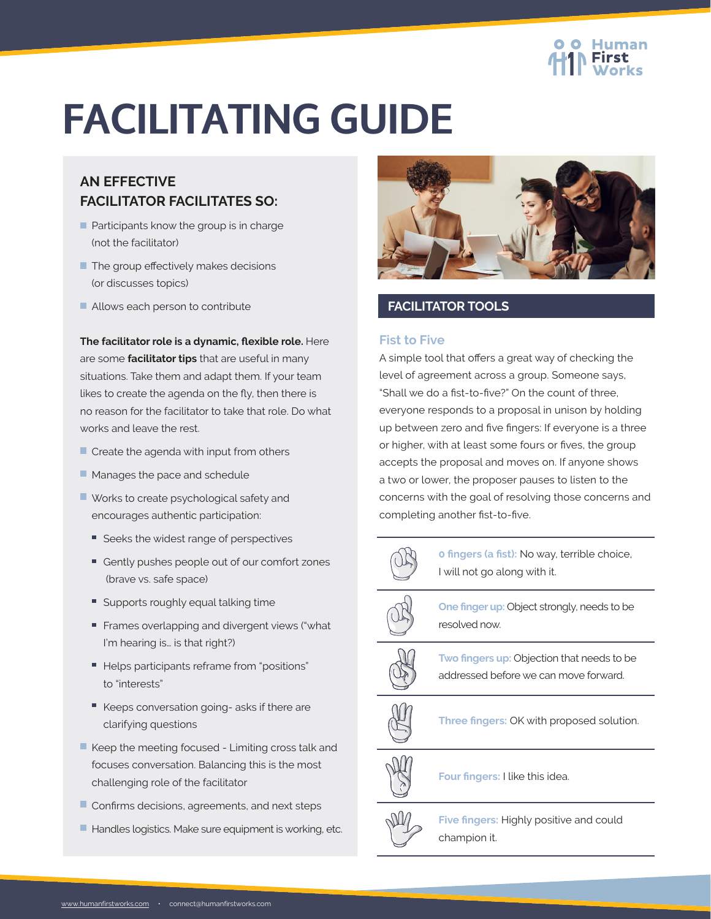# **FACILITATING GUIDE**

## **AN EFFECTIVE FACILITATOR FACILITATES SO:**

- $\blacksquare$  Participants know the group is in charge (not the facilitator)
- $\blacksquare$  The group effectively makes decisions (or discusses topics)
- Allows each person to contribute

**The facilitator role is a dynamic, flexible role.** Here are some **facilitator tips** that are useful in many situations. Take them and adapt them. If your team likes to create the agenda on the fly, then there is no reason for the facilitator to take that role. Do what works and leave the rest.

- $\blacksquare$  Create the agenda with input from others
- **Manages the pace and schedule**
- Works to create psychological safety and encourages authentic participation:
	- Seeks the widest range of perspectives
	- Gently pushes people out of our comfort zones (brave vs. safe space)
	- Supports roughly equal talking time
	- Frames overlapping and divergent views ("what I'm hearing is… is that right?)
	- Helps participants reframe from "positions" to "interests"
	- Keeps conversation going- asks if there are clarifying questions
- $\blacksquare$  Keep the meeting focused Limiting cross talk and focuses conversation. Balancing this is the most challenging role of the facilitator
- $\blacksquare$  Confirms decisions, agreements, and next steps
- Handles logistics. Make sure equipment is working, etc.



## **FACILITATOR TOOLS**

## **Fist to Five**

A simple tool that offers a great way of checking the level of agreement across a group. Someone says, "Shall we do a fist-to-five?" On the count of three, everyone responds to a proposal in unison by holding up between zero and five fingers: If everyone is a three or higher, with at least some fours or fives, the group accepts the proposal and moves on. If anyone shows a two or lower, the proposer pauses to listen to the concerns with the goal of resolving those concerns and completing another fist-to-five.



**0 fingers (a fist):** No way, terrible choice, I will not go along with it.



**One finger up:** Object strongly, needs to be resolved now.



**Two fingers up:** Objection that needs to be addressed before we can move forward.



**Three fingers:** OK with proposed solution.



**Four fingers:** I like this idea.



**Five fingers:** Highly positive and could champion it.